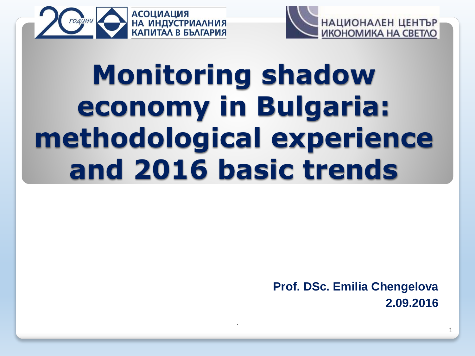



# **Monitoring shadow economy in Bulgaria: methodological experience and 2016 basic trends**

.

**Prof. DSc. Emilia Chengelova 2.09.2016**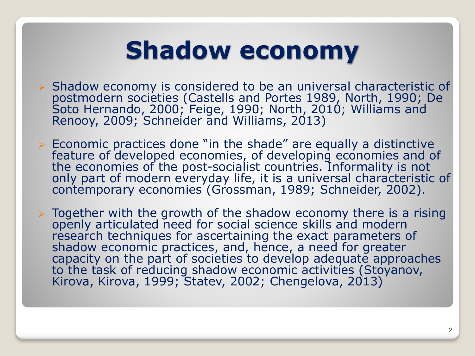## **Shadow economy**

- $\triangleright$  Shadow economy is considered to be an universal characteristic of postmodern societies (Castells and Portes 1989, North, 1990; De Soto Hernando, 2000; Feige, 1990; North, 2010; Williams and Renooy, 2009; Schneider and Williams, 2013)
- $\triangleright$  Economic practices done "in the shade" are equally a distinctive feature of developed economies, of developing economies and of the economies of the post-socialist countries. Informality is not only part of modern everyday life, it is a universal characteristic of contemporary economies (Grossman, 1989; Schneider, 2002).
- $\triangleright$  Together with the growth of the shadow economy there is a rising openly articulated need for social science skills and modern research techniques for ascertaining the exact parameters of shadow economic practices, and, hence, a need for greater capacity on the part of societies to develop adequate approaches to the task of reducing shadow economic activities (Stoyanov, Kirova, Kirova, 1999; Statev, 2002; Chengelova, 2013)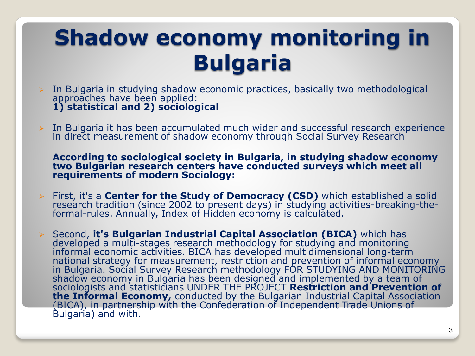## **Shadow economy monitoring in Bulgaria**

- $\triangleright$  In Bulgaria in studying shadow economic practices, basically two methodological approaches have been applied: **1) statistical and 2) sociological**
- In Bulgaria it has been accumulated much wider and successful research experience in direct measurement of shadow economy through Social Survey Research

**According to sociological society in Bulgaria, in studying shadow economy two Bulgarian research centers have conducted surveys which meet all requirements of modern Sociology:**

- First, it's a **Center for the Study of Democracy (CSD)** which established a solid research tradition (since 2002 to present days) in studying activities-breaking-theformal-rules. Annually, Index of Hidden economy is calculated.
- Second, **it's Bulgarian Industrial Capital Association (BICA)** which has developed a multi-stages research methodology for studying and monitoring informal economic activities. BICA has developed multidimensional long-term national strategy for measurement, restriction and prevention of informal economy in Bulgaria. Social Survey Research methodology FOR STUDYING AND MONITORING shadow economy in Bulgaria has been designed and implemented by a team of sociologists and statisticians UNDER THE PROJECT **Restriction and Prevention of the Informal Economy,** conducted by the Bulgarian Industrial Capital Association (BICA), in partnership with the Confederation of Independent Trade Unions of Bulgaria) and with.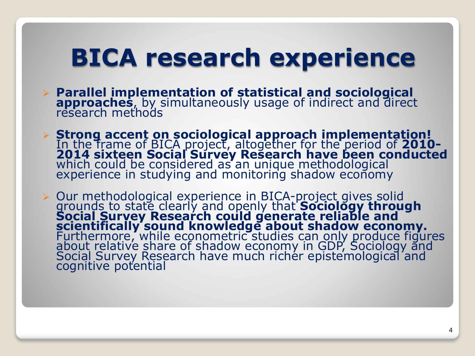## **BICA research experience**

- **Parallel implementation of statistical and sociological approaches**, by simultaneously usage of indirect and direct research methods
- **Strong accent on sociological approach implementation!** In the frame of BICA project, altogether for the period of **2010- 2014 sixteen Social Survey Research have been conducted** which could be considered as an unique methodological experience in studying and monitoring shadow economy

 Our methodological experience in BICA-project gives solid grounds to state clearly and openly that **Sociology through Social Survey Research could generate reliable and scientifically sound knowledge about shadow economy.**  Furthermore, while econometric studies can only produce figures about relative share of shadow economy in GDP, Sociology and Social Survey Research have much richer epistemological and cognitive potential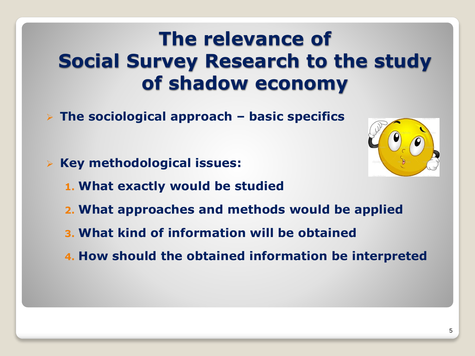#### **The relevance of Social Survey Research to the study of shadow economy**

- **The sociological approach – basic specifics**
- **Key methodological issues:**
	- **1. What exactly would be studied**
	- **2. What approaches and methods would be applied**
	- **3. What kind of information will be obtained**
	- **4. How should the obtained information be interpreted**

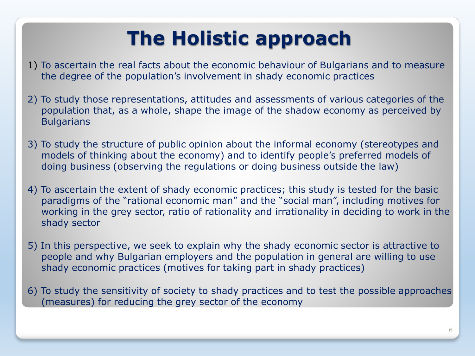## **The Holistic approach**

- 1) To ascertain the real facts about the economic behaviour of Bulgarians and to measure the degree of the population's involvement in shady economic practices
- 2) To study those representations, attitudes and assessments of various categories of the population that, as a whole, shape the image of the shadow economy as perceived by **Bulgarians**
- 3) To study the structure of public opinion about the informal economy (stereotypes and models of thinking about the economy) and to identify people's preferred models of doing business (observing the regulations or doing business outside the law)
- 4) To ascertain the extent of shady economic practices; this study is tested for the basic paradigms of the "rational economic man" and the "social man", including motives for working in the grey sector, ratio of rationality and irrationality in deciding to work in the shady sector
- 5) In this perspective, we seek to explain why the shady economic sector is attractive to people and why Bulgarian employers and the population in general are willing to use shady economic practices (motives for taking part in shady practices)
- 6) To study the sensitivity of society to shady practices and to test the possible approaches (measures) for reducing the grey sector of the economy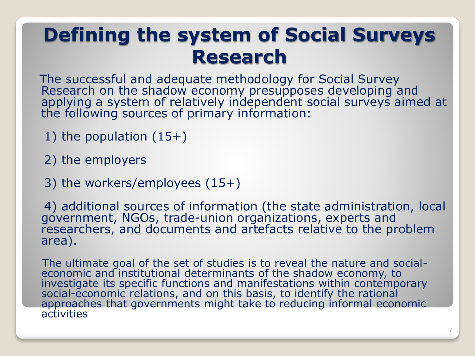### **Defining the system of Social Surveys Research**

The successful and adequate methodology for Social Survey Research on the shadow economy presupposes developing and applying a system of relatively independent social surveys aimed at the following sources of primary information:

- 1) the population (15+)
- 2) the employers
- 3) the workers/employees (15+)

4) additional sources of information (the state administration, local government, NGOs, trade-union organizations, experts and researchers, and documents and artefacts relative to the problem area).

The ultimate goal of the set of studies is to reveal the nature and socialeconomic and institutional determinants of the shadow economy, to investigate its specific functions and manifestations within contemporary social-economic relations, and on this basis, to identify the rational approaches that governments might take to reducing informal economic **activities**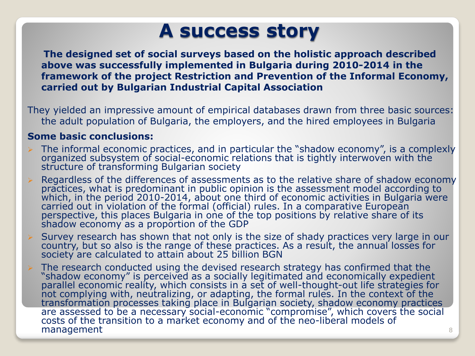#### **A success story**

**The designed set of social surveys based on the holistic approach described above was successfully implemented in Bulgaria during 2010-2014 in the framework of the project Restriction and Prevention of the Informal Economy, carried out by Bulgarian Industrial Capital Association**

They yielded an impressive amount of empirical databases drawn from three basic sources: the adult population of Bulgaria, the employers, and the hired employees in Bulgaria

#### **Some basic conclusions:**

- The informal economic practices, and in particular the "shadow economy", is a complexly organized subsystem of social-economic relations that is tightly interwoven with the structure of transforming Bulgarian society
- Regardless of the differences of assessments as to the relative share of shadow economy practices, what is predominant in public opinion is the assessment model according to which, in the period 2010-2014, about one third of economic activities in Bulgaria were carried out in violation of the formal (official) rules. In a comparative European perspective, this places Bulgaria in one of the top positions by relative share of its shadow economy as a proportion of the GDP
- Survey research has shown that not only is the size of shady practices very large in our country, but so also is the range of these practices. As a result, the annual losses for society are calculated to attain about 25 billion BGN
- The research conducted using the devised research strategy has confirmed that the "shadow economy" is perceived as a socially legitimated and economically expedient parallel economic reality, which consists in a set of well-thought-out life strategies for not complying with, neutralizing, or adapting, the formal rules. In the context of the transformation processes taking place in Bulgarian society, shadow economy practices are assessed to be a necessary social-economic "compromise", which covers the social costs of the transition to a market economy and of the neo-liberal models of management and a set of the set of the set of the set of the set of the set of the set of the set of the set of the set of the set of the set of the set of the set of the set of the set of the set of the set of the set of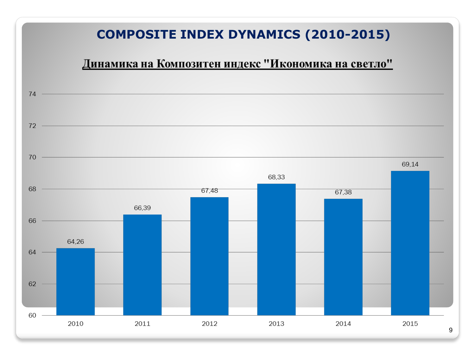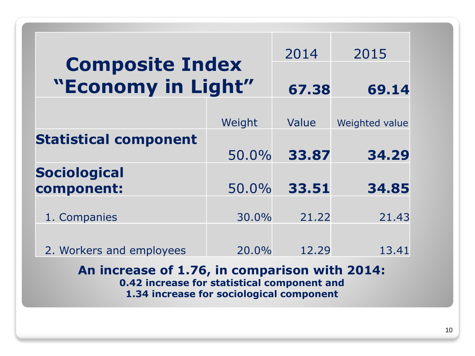| <b>Composite Index</b><br>"Economy in Light"                                                 |        | 2014  | 2015           |  |  |  |
|----------------------------------------------------------------------------------------------|--------|-------|----------------|--|--|--|
|                                                                                              |        | 67.38 | 69.14          |  |  |  |
|                                                                                              | Weight | Value | Weighted value |  |  |  |
| <b>Statistical component</b>                                                                 | 50.0%  | 33.87 | 34.29          |  |  |  |
| <b>Sociological</b><br>component:                                                            | 50.0%  | 33.51 | 34.85          |  |  |  |
| 1. Companies                                                                                 | 30.0%  | 21.22 | 21.43          |  |  |  |
| 2. Workers and employees                                                                     | 20.0%  | 12.29 | 13.41          |  |  |  |
| An increase of 1.76, in comparison with 2014:<br>0.42 increase for statistical component and |        |       |                |  |  |  |
| 1.34 increase for sociological component                                                     |        |       |                |  |  |  |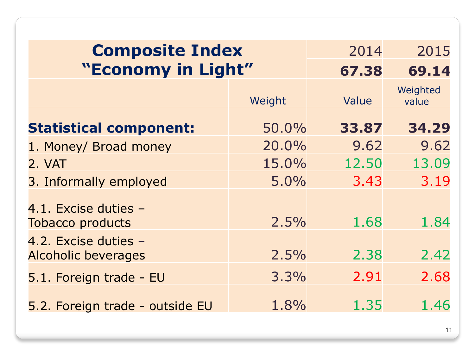| <b>Composite Index</b>                             |        | 2014  | 2015              |
|----------------------------------------------------|--------|-------|-------------------|
| "Economy in Light"                                 |        | 67.38 | 69.14             |
|                                                    | Weight | Value | Weighted<br>value |
| <b>Statistical component:</b>                      | 50.0%  | 33.87 | 34.29             |
| 1. Money/ Broad money                              | 20.0%  | 9.62  | 9.62              |
| 2. VAT                                             | 15.0%  | 12.50 | 13.09             |
| 3. Informally employed                             | 5.0%   | 3.43  | 3.19              |
| 4.1. Excise duties -<br><b>Tobacco products</b>    | 2.5%   | 1.68  | 1.84              |
| 4.2. Excise duties -<br><b>Alcoholic beverages</b> | 2.5%   | 2.38  | 2.42              |
| 5.1. Foreign trade - EU                            | 3.3%   | 2.91  | 2.68              |
| 5.2. Foreign trade - outside EU                    | 1.8%   | 1.35  | 1.46              |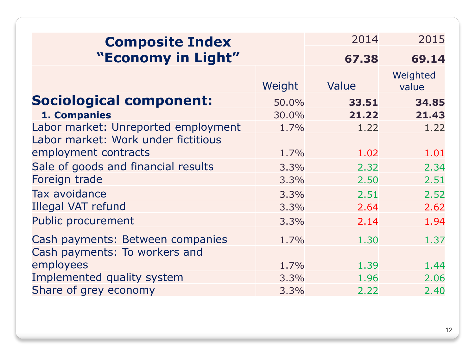| <b>Composite Index</b>              |        | 2014  | 2015              |
|-------------------------------------|--------|-------|-------------------|
| "Economy in Light"                  |        | 67.38 | 69.14             |
|                                     | Weight | Value | Weighted<br>value |
| <b>Sociological component:</b>      | 50.0%  | 33.51 | 34.85             |
| 1. Companies                        | 30.0%  | 21.22 | 21.43             |
| Labor market: Unreported employment | 1.7%   | 1.22  | 1.22              |
| Labor market: Work under fictitious |        |       |                   |
| employment contracts                | 1.7%   | 1.02  | 1.01              |
| Sale of goods and financial results | 3.3%   | 2.32  | 2.34              |
| Foreign trade                       | 3.3%   | 2.50  | 2.51              |
| Tax avoidance                       | 3.3%   | 2.51  | 2.52              |
| <b>Illegal VAT refund</b>           | 3.3%   | 2.64  | 2.62              |
| <b>Public procurement</b>           | 3.3%   | 2.14  | 1.94              |
| Cash payments: Between companies    | 1.7%   | 1.30  | 1.37              |
| Cash payments: To workers and       |        |       |                   |
| employees                           | 1.7%   | 1.39  | 1.44              |
| Implemented quality system          | 3.3%   | 1.96  | 2.06              |
| Share of grey economy               | 3.3%   | 2.22  | 2.40              |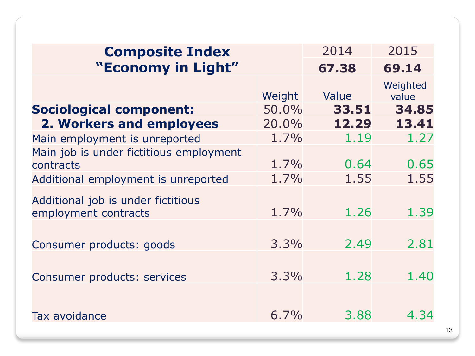| <b>Composite Index</b>                                     |         | 2014  | 2015              |
|------------------------------------------------------------|---------|-------|-------------------|
| "Economy in Light"                                         |         | 67.38 | 69.14             |
|                                                            | Weight  | Value | Weighted<br>value |
| <b>Sociological component:</b>                             | 50.0%   | 33.51 | 34.85             |
| 2. Workers and employees                                   | 20.0%   | 12.29 | 13.41             |
| Main employment is unreported                              | 1.7%    | 1.19  | 1.27              |
| Main job is under fictitious employment<br>contracts       | $1.7\%$ | 0.64  | 0.65              |
| Additional employment is unreported                        | 1.7%    | 1.55  | 1.55              |
| Additional job is under fictitious<br>employment contracts | 1.7%    | 1.26  | 1.39              |
| Consumer products: goods                                   | 3.3%    | 2.49  | 2.81              |
| Consumer products: services                                | 3.3%    | 1.28  | 1.40              |
| Tax avoidance                                              | $6.7\%$ | 3.88  | 4.34              |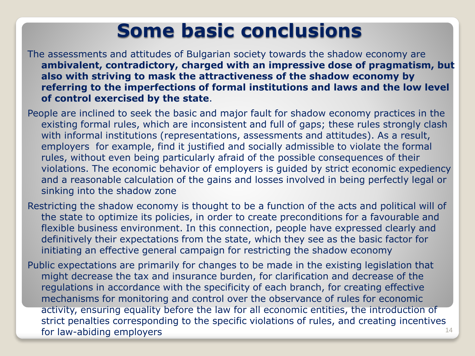#### **Some basic conclusions**

The assessments and attitudes of Bulgarian society towards the shadow economy are **ambivalent, contradictory, charged with an impressive dose of pragmatism, but also with striving to mask the attractiveness of the shadow economy by referring to the imperfections of formal institutions and laws and the low level of control exercised by the state**.

People are inclined to seek the basic and major fault for shadow economy practices in the existing formal rules, which are inconsistent and full of gaps; these rules strongly clash with informal institutions (representations, assessments and attitudes). As a result, employers for example, find it justified and socially admissible to violate the formal rules, without even being particularly afraid of the possible consequences of their violations. The economic behavior of employers is guided by strict economic expediency and a reasonable calculation of the gains and losses involved in being perfectly legal or sinking into the shadow zone

Restricting the shadow economy is thought to be a function of the acts and political will of the state to optimize its policies, in order to create preconditions for a favourable and flexible business environment. In this connection, people have expressed clearly and definitively their expectations from the state, which they see as the basic factor for initiating an effective general campaign for restricting the shadow economy

Public expectations are primarily for changes to be made in the existing legislation that might decrease the tax and insurance burden, for clarification and decrease of the regulations in accordance with the specificity of each branch, for creating effective mechanisms for monitoring and control over the observance of rules for economic activity, ensuring equality before the law for all economic entities, the introduction of strict penalties corresponding to the specific violations of rules, and creating incentives for law-abiding employers  $14$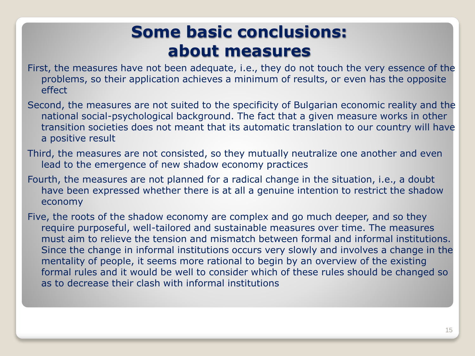#### **Some basic conclusions: about measures**

- First, the measures have not been adequate, i.e., they do not touch the very essence of the problems, so their application achieves a minimum of results, or even has the opposite effect
- Second, the measures are not suited to the specificity of Bulgarian economic reality and the national social-psychological background. The fact that a given measure works in other transition societies does not meant that its automatic translation to our country will have a positive result
- Third, the measures are not consisted, so they mutually neutralize one another and even lead to the emergence of new shadow economy practices
- Fourth, the measures are not planned for a radical change in the situation, i.e., a doubt have been expressed whether there is at all a genuine intention to restrict the shadow economy
- Five, the roots of the shadow economy are complex and go much deeper, and so they require purposeful, well-tailored and sustainable measures over time. The measures must aim to relieve the tension and mismatch between formal and informal institutions. Since the change in informal institutions occurs very slowly and involves a change in the mentality of people, it seems more rational to begin by an overview of the existing formal rules and it would be well to consider which of these rules should be changed so as to decrease their clash with informal institutions